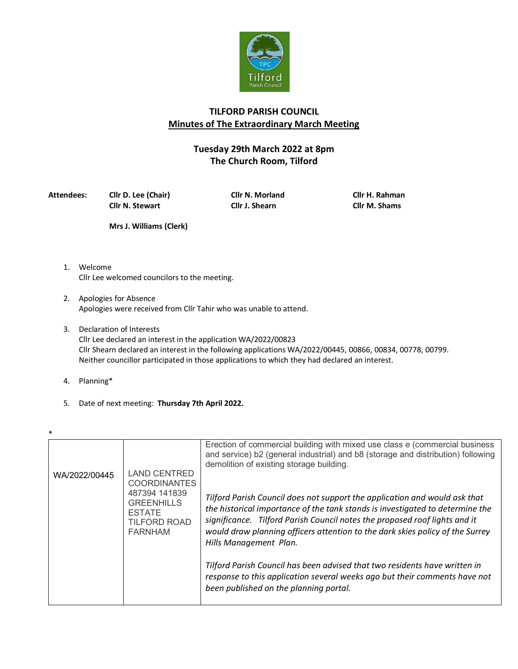

## **TILFORD PARISH COUNCIL Minutes of The Extraordinary March Meeting**

## **Tuesday 29th March 2022 at 8pm The Church Room, Tilford**

**Attendees: Cllr D. Lee (Chair) Cllr N. Morland Cllr H. Rahman Cllr N. Stewart Cllr J. Shearn Cllr M. Shams**

**Mrs J. Williams (Clerk)**

- 1. Welcome Cllr Lee welcomed councilors to the meeting.
- 2. Apologies for Absence Apologies were received from Cllr Tahir who was unable to attend.
- 3. Declaration of Interests Cllr Lee declared an interest in the application WA/2022/00823 Cllr Shearn declared an interest in the following applications WA/2022/00445, 00866, 00834, 00778, 00799. Neither councillor participated in those applications to which they had declared an interest.
- 4. Planning\*
- 5. Date of next meeting: **Thursday 7th April 2022.**

| $\ast$        |                                                                                                                                            |                                                                                                                                                                                                                                                                                                                                                      |  |  |
|---------------|--------------------------------------------------------------------------------------------------------------------------------------------|------------------------------------------------------------------------------------------------------------------------------------------------------------------------------------------------------------------------------------------------------------------------------------------------------------------------------------------------------|--|--|
|               |                                                                                                                                            | Erection of commercial building with mixed use class e (commercial business<br>and service) b2 (general industrial) and b8 (storage and distribution) following<br>demolition of existing storage building.                                                                                                                                          |  |  |
| WA/2022/00445 | <b>LAND CENTRED</b><br><b>COORDINANTES</b><br>487394 141839<br><b>GREENHILLS</b><br><b>ESTATE</b><br><b>TILFORD ROAD</b><br><b>FARNHAM</b> | Tilford Parish Council does not support the application and would ask that<br>the historical importance of the tank stands is investigated to determine the<br>significance. Tilford Parish Council notes the proposed roof lights and it<br>would draw planning officers attention to the dark skies policy of the Surrey<br>Hills Management Plan. |  |  |
|               |                                                                                                                                            | Tilford Parish Council has been advised that two residents have written in<br>response to this application several weeks ago but their comments have not<br>been published on the planning portal.                                                                                                                                                   |  |  |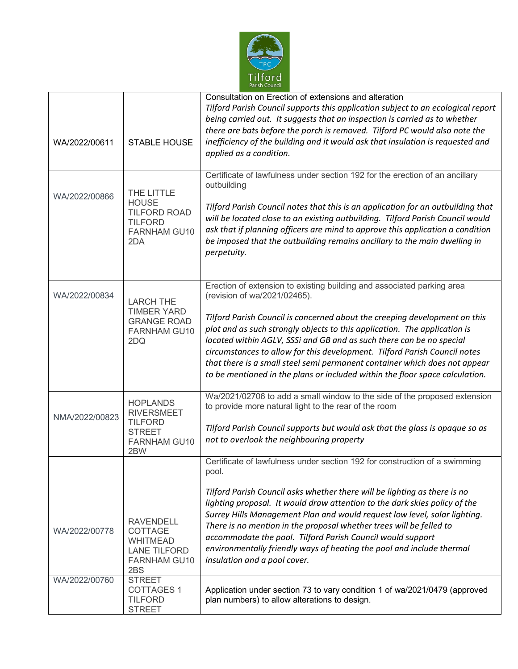

| WA/2022/00611                  | <b>STABLE HOUSE</b>                                                                                                         | Consultation on Erection of extensions and alteration<br>Tilford Parish Council supports this application subject to an ecological report<br>being carried out. It suggests that an inspection is carried as to whether<br>there are bats before the porch is removed. Tilford PC would also note the<br>inefficiency of the building and it would ask that insulation is requested and<br>applied as a condition.<br>Certificate of lawfulness under section 192 for the erection of an ancillary                                                                                   |
|--------------------------------|-----------------------------------------------------------------------------------------------------------------------------|--------------------------------------------------------------------------------------------------------------------------------------------------------------------------------------------------------------------------------------------------------------------------------------------------------------------------------------------------------------------------------------------------------------------------------------------------------------------------------------------------------------------------------------------------------------------------------------|
| WA/2022/00866                  | THE LITTLE<br><b>HOUSE</b><br><b>TILFORD ROAD</b><br><b>TILFORD</b><br><b>FARNHAM GU10</b><br>2DA                           | outbuilding<br>Tilford Parish Council notes that this is an application for an outbuilding that<br>will be located close to an existing outbuilding. Tilford Parish Council would<br>ask that if planning officers are mind to approve this application a condition<br>be imposed that the outbuilding remains ancillary to the main dwelling in<br>perpetuity.                                                                                                                                                                                                                      |
| WA/2022/00834                  | <b>LARCH THE</b><br><b>TIMBER YARD</b><br><b>GRANGE ROAD</b><br><b>FARNHAM GU10</b><br>2DQ                                  | Erection of extension to existing building and associated parking area<br>(revision of wa/2021/02465).<br>Tilford Parish Council is concerned about the creeping development on this<br>plot and as such strongly objects to this application. The application is<br>located within AGLV, SSSi and GB and as such there can be no special<br>circumstances to allow for this development. Tilford Parish Council notes<br>that there is a small steel semi permanent container which does not appear<br>to be mentioned in the plans or included within the floor space calculation. |
| NMA/2022/00823                 | <b>HOPLANDS</b><br><b>RIVERSMEET</b><br><b>TILFORD</b><br><b>STREET</b><br><b>FARNHAM GU10</b><br>2BW                       | Wa/2021/02706 to add a small window to the side of the proposed extension<br>to provide more natural light to the rear of the room<br>Tilford Parish Council supports but would ask that the glass is opaque so as<br>not to overlook the neighbouring property                                                                                                                                                                                                                                                                                                                      |
| WA/2022/00778<br>WA/2022/00760 | <b>RAVENDELL</b><br><b>COTTAGE</b><br><b>WHITMEAD</b><br><b>LANE TILFORD</b><br><b>FARNHAM GU10</b><br>2BS<br><b>STREET</b> | Certificate of lawfulness under section 192 for construction of a swimming<br>pool.<br>Tilford Parish Council asks whether there will be lighting as there is no<br>lighting proposal. It would draw attention to the dark skies policy of the<br>Surrey Hills Management Plan and would request low level, solar lighting.<br>There is no mention in the proposal whether trees will be felled to<br>accommodate the pool. Tilford Parish Council would support<br>environmentally friendly ways of heating the pool and include thermal<br>insulation and a pool cover.            |
|                                | <b>COTTAGES 1</b><br><b>TILFORD</b><br><b>STREET</b>                                                                        | Application under section 73 to vary condition 1 of wa/2021/0479 (approved<br>plan numbers) to allow alterations to design.                                                                                                                                                                                                                                                                                                                                                                                                                                                          |